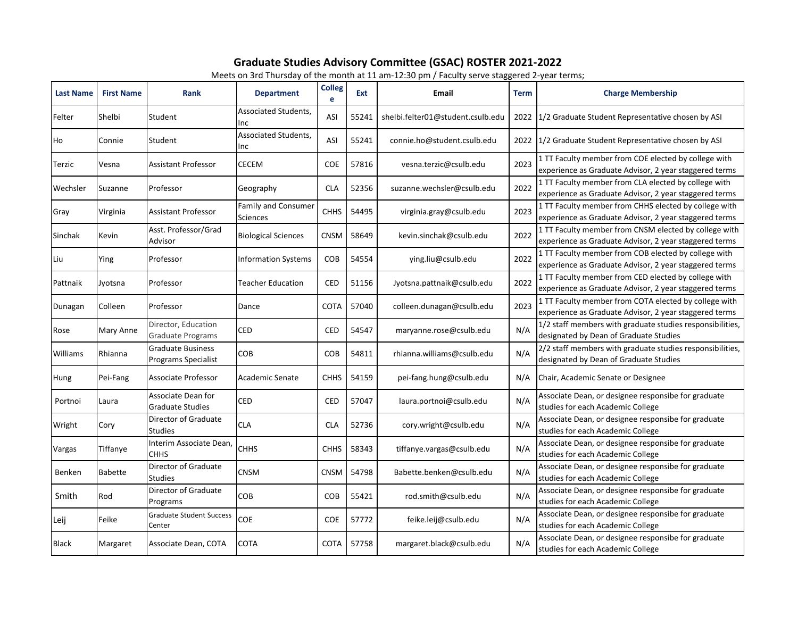## **Graduate Studies Advisory Committee (GSAC) ROSTER 2021-2022**

Meets on 3rd Thursday of the month at 11 am-12:30 pm / Faculty serve staggered 2-year terms;

| <b>Last Name</b> | <b>First Name</b> | Rank                                            | $m$ and $m$ and $m$ and $m$ and $m$ and $m$ and $m$<br><b>Department</b> | <b>Colleg</b><br>e | Ext   | Email                             | <b>Term</b> | <b>Charge Membership</b>                                                                                        |
|------------------|-------------------|-------------------------------------------------|--------------------------------------------------------------------------|--------------------|-------|-----------------------------------|-------------|-----------------------------------------------------------------------------------------------------------------|
| Felter           | Shelbi            | Student                                         | Associated Students,<br>Inc                                              | ASI                | 55241 | shelbi.felter01@student.csulb.edu |             | 2022 1/2 Graduate Student Representative chosen by ASI                                                          |
| Ho               | Connie            | Student                                         | Associated Students,<br>Inc                                              | ASI                | 55241 | connie.ho@student.csulb.edu       |             | 2022 1/2 Graduate Student Representative chosen by ASI                                                          |
| Terzic           | Vesna             | <b>Assistant Professor</b>                      | <b>CECEM</b>                                                             | COE                | 57816 | vesna.terzic@csulb.edu            | 2023        | 1 TT Faculty member from COE elected by college with<br>experience as Graduate Advisor, 2 year staggered terms  |
| Wechsler         | Suzanne           | Professor                                       | Geography                                                                | <b>CLA</b>         | 52356 | suzanne.wechsler@csulb.edu        | 2022        | 1 TT Faculty member from CLA elected by college with<br>experience as Graduate Advisor, 2 year staggered terms  |
| Gray             | Virginia          | Assistant Professor                             | <b>Family and Consumer</b><br>Sciences                                   | <b>CHHS</b>        | 54495 | virginia.gray@csulb.edu           | 2023        | 1 TT Faculty member from CHHS elected by college with<br>experience as Graduate Advisor, 2 year staggered terms |
| Sinchak          | Kevin             | Asst. Professor/Grad<br>Advisor                 | <b>Biological Sciences</b>                                               | <b>CNSM</b>        | 58649 | kevin.sinchak@csulb.edu           | 2022        | 1 TT Faculty member from CNSM elected by college with<br>experience as Graduate Advisor, 2 year staggered terms |
| Liu              | Ying              | Professor                                       | <b>Information Systems</b>                                               | COB                | 54554 | ying.liu@csulb.edu                | 2022        | 1 TT Faculty member from COB elected by college with<br>experience as Graduate Advisor, 2 year staggered terms  |
| Pattnaik         | Jyotsna           | Professor                                       | Teacher Education                                                        | <b>CED</b>         | 51156 | Jyotsna.pattnaik@csulb.edu        | 2022        | 1 TT Faculty member from CED elected by college with<br>experience as Graduate Advisor, 2 year staggered terms  |
| Dunagan          | Colleen           | Professor                                       | Dance                                                                    | <b>COTA</b>        | 57040 | colleen.dunagan@csulb.edu         | 2023        | 1 TT Faculty member from COTA elected by college with<br>experience as Graduate Advisor, 2 year staggered terms |
| Rose             | Mary Anne         | Director, Education<br>Graduate Programs        | <b>CED</b>                                                               | <b>CED</b>         | 54547 | maryanne.rose@csulb.edu           | N/A         | 1/2 staff members with graduate studies responsibilities,<br>designated by Dean of Graduate Studies             |
| Williams         | Rhianna           | <b>Graduate Business</b><br>Programs Specialist | <b>COB</b>                                                               | COB                | 54811 | rhianna.williams@csulb.edu        | N/A         | 2/2 staff members with graduate studies responsibilities,<br>designated by Dean of Graduate Studies             |
| Hung             | Pei-Fang          | Associate Professor                             | Academic Senate                                                          | <b>CHHS</b>        | 54159 | pei-fang.hung@csulb.edu           | N/A         | Chair, Academic Senate or Designee                                                                              |
| Portnoi          | Laura             | Associate Dean for<br><b>Graduate Studies</b>   | <b>CED</b>                                                               | <b>CED</b>         | 57047 | laura.portnoi@csulb.edu           | N/A         | Associate Dean, or designee responsibe for graduate<br>studies for each Academic College                        |
| Wright           | Cory              | Director of Graduate<br>Studies                 | <b>CLA</b>                                                               | <b>CLA</b>         | 52736 | cory.wright@csulb.edu             | N/A         | Associate Dean, or designee responsibe for graduate<br>studies for each Academic College                        |
| Vargas           | Tiffanye          | Interim Associate Dean,<br><b>CHHS</b>          | <b>CHHS</b>                                                              | <b>CHHS</b>        | 58343 | tiffanye.vargas@csulb.edu         | N/A         | Associate Dean, or designee responsibe for graduate<br>studies for each Academic College                        |
| Benken           | Babette           | Director of Graduate<br>Studies                 | <b>CNSM</b>                                                              | <b>CNSM</b>        | 54798 | Babette.benken@csulb.edu          | N/A         | Associate Dean, or designee responsibe for graduate<br>studies for each Academic College                        |
| Smith            | Rod               | Director of Graduate<br>Programs                | COB                                                                      | COB                | 55421 | rod.smith@csulb.edu               | N/A         | Associate Dean, or designee responsibe for graduate<br>studies for each Academic College                        |
| Leij             | Feike             | <b>Graduate Student Success</b><br>Center       | COE                                                                      | <b>COE</b>         | 57772 | feike.leij@csulb.edu              | N/A         | Associate Dean, or designee responsibe for graduate<br>studies for each Academic College                        |
| <b>Black</b>     | Margaret          | Associate Dean, COTA                            | <b>COTA</b>                                                              | <b>COTA</b>        | 57758 | margaret.black@csulb.edu          | N/A         | Associate Dean, or designee responsibe for graduate<br>studies for each Academic College                        |